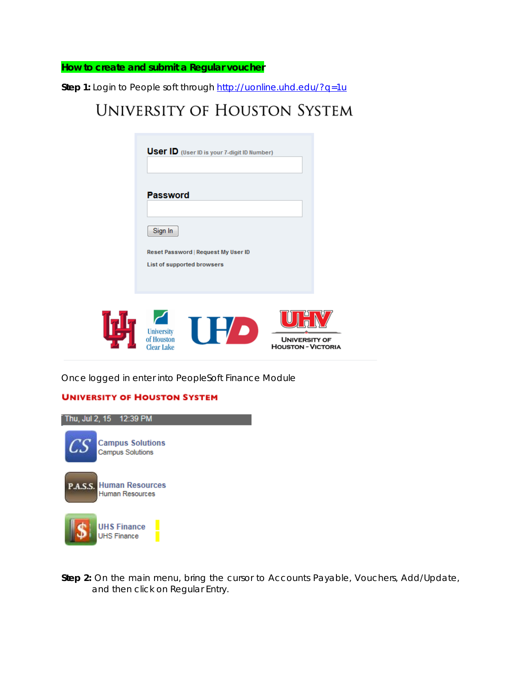**How to create and submit a Regular voucher**

Step 1: Login to People soft through<http://uonline.uhd.edu/?q=1u>

## **UNIVERSITY OF HOUSTON SYSTEM**

| <b>User ID</b> (User ID is your 7-digit ID Number)                |                      |
|-------------------------------------------------------------------|----------------------|
| <b>Password</b>                                                   |                      |
| Sign In                                                           |                      |
| Reset Password   Request My User ID<br>List of supported browsers |                      |
| <b>University</b><br>of Houston                                   | <b>UNIVERSITY OF</b> |

Once logged in enter into PeopleSoft Finance Module

Clear Lake

## **UNIVERSITY OF HOUSTON SYSTEM**



**Step 2:** On the main menu, bring the cursor to Accounts Payable, Vouchers, Add/Update, and then click on Regular Entry.

**HOUSTON - VICTORIA**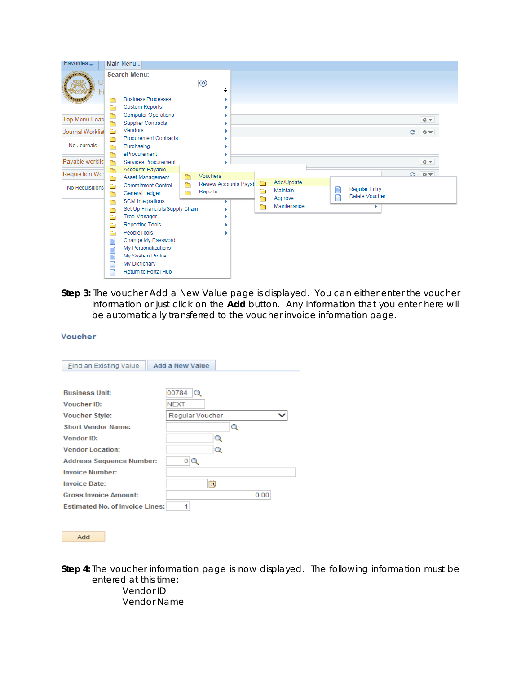| $F$ avorites $\overline{F}$ |        | Main Menu -                                               |        |                                  |             |                                   |        |                                        |   |         |  |
|-----------------------------|--------|-----------------------------------------------------------|--------|----------------------------------|-------------|-----------------------------------|--------|----------------------------------------|---|---------|--|
|                             |        | <b>Search Menu:</b>                                       |        | $\circledR$<br>٠                 |             |                                   |        |                                        |   |         |  |
|                             | Ħ<br>Ò | <b>Business Processes</b><br><b>Custom Reports</b>        |        |                                  |             |                                   |        |                                        |   |         |  |
| <b>Top Menu Featu</b>       | Ò<br>Ò | <b>Computer Operations</b><br><b>Supplier Contracts</b>   |        |                                  |             |                                   |        |                                        |   | 章三      |  |
| <b>Journal Worklist</b>     | Ò<br>▭ | <b>Vendors</b><br><b>Procurement Contracts</b>            |        |                                  |             |                                   |        |                                        | e | $0 -$   |  |
| No Journals                 | A<br>Ò | Purchasing<br>eProcurement                                |        |                                  |             |                                   |        |                                        |   |         |  |
| Payable worklist            | Ò      | <b>Services Procurement</b>                               |        |                                  |             |                                   |        |                                        |   | $0 -$   |  |
| <b>Requisition Wor</b>      | Ò<br>Ò | <b>Accounts Payable</b><br>Asset Management               | ▭      | Vouchers                         |             |                                   |        |                                        |   | $C = 0$ |  |
| No Requisitions             | Ò<br>Ò | <b>Commitment Control</b><br>General Ledger               | Ò<br>n | Review Accounts Payat<br>Reports | ▭<br>Ò<br>Ò | Add/Update<br>Maintain<br>Approve | E<br>冒 | <b>Regular Entry</b><br>Delete Voucher |   |         |  |
|                             | n<br>Ò | <b>SCM</b> Integrations<br>Set Up Financials/Supply Chain |        |                                  | Ò           | Maintenance                       |        |                                        |   |         |  |
|                             | Ò      | <b>Tree Manager</b>                                       |        |                                  |             |                                   |        |                                        |   |         |  |
|                             | Ò<br>Ò | <b>Reporting Tools</b><br>PeopleTools                     |        |                                  |             |                                   |        |                                        |   |         |  |
|                             | F      | Change My Password                                        |        |                                  |             |                                   |        |                                        |   |         |  |
|                             | E      | My Personalizations                                       |        |                                  |             |                                   |        |                                        |   |         |  |
|                             | Ē      | My System Profile<br>My Dictionary                        |        |                                  |             |                                   |        |                                        |   |         |  |
|                             |        | Return to Portal Hub                                      |        |                                  |             |                                   |        |                                        |   |         |  |

**Step 3:** The voucher Add a New Value page is displayed. You can either enter the voucher information or just click on the **Add** button. Any information that you enter here will be automatically transferred to the voucher invoice information page.

| Find an Existing Value                 | Add a New Value |
|----------------------------------------|-----------------|
|                                        |                 |
| <b>Business Unit:</b>                  | 00784<br>Q      |
| Voucher ID:                            | <b>NEXT</b>     |
| <b>Voucher Style:</b>                  | Regular Voucher |
| <b>Short Vendor Name:</b>              | Q               |
| Vendor ID:                             | Q               |
| <b>Vendor Location:</b>                | Q               |
| <b>Address Sequence Number:</b>        | 0               |
| <b>Invoice Number:</b>                 |                 |
| <b>Invoice Date:</b>                   | Γū              |
| <b>Gross Invoice Amount:</b>           | 0.00            |
| <b>Estimated No. of Invoice Lines:</b> | 1               |
|                                        |                 |

Add

**Step 4:** The voucher information page is now displayed. The following information must be entered at this time:

Vendor ID Vendor Name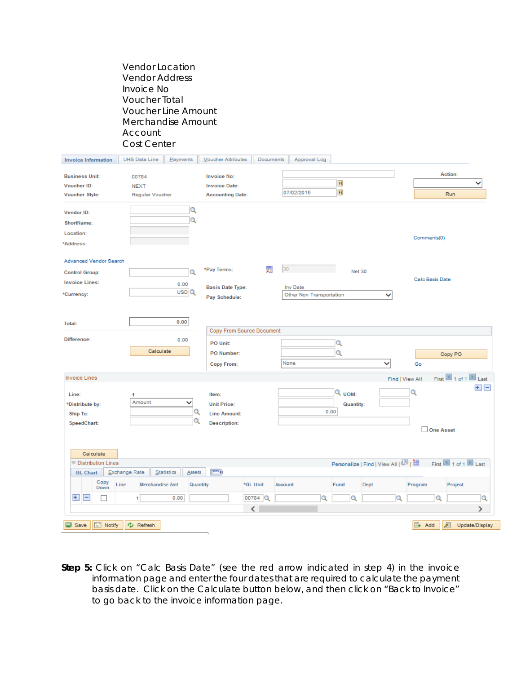Vendor Location Vendor Address Invoice No Voucher Total Voucher Line Amount Merchandise Amount Account Cost Center

| <b>Invoice Information</b>                                                                              | UHS Data Line                                   | Payments                                 | Voucher Attributes                                                        | <b>Documents</b>       |                | Approval Log             |                                         |                  |                                                         |                      |                                               |   |
|---------------------------------------------------------------------------------------------------------|-------------------------------------------------|------------------------------------------|---------------------------------------------------------------------------|------------------------|----------------|--------------------------|-----------------------------------------|------------------|---------------------------------------------------------|----------------------|-----------------------------------------------|---|
| <b>Business Unit:</b><br>Voucher ID:<br><b>Voucher Style:</b>                                           | 00784<br><b>NEXT</b><br>Regular Voucher         |                                          | <b>Invoice No:</b><br><b>Invoice Date:</b><br><b>Accounting Date:</b>     |                        | 07/02/2015     |                          | $\mathbf{b}$<br>$\overline{\mathbf{3}}$ |                  |                                                         |                      | Action:<br>v<br>Run                           |   |
| Vendor ID:<br>ShortName:<br>Location:<br>*Address:                                                      |                                                 | $\alpha$<br>Q                            |                                                                           |                        |                |                          |                                         |                  |                                                         | Comments(0)          |                                               |   |
| Advanced Vendor Search<br><b>Control Group:</b><br><b>Invoice Lines:</b><br>*Currency:                  |                                                 | $\alpha$<br>0.00<br>$USD$ <sup>Q</sup>   | *Pay Terms:<br><b>Basis Date Type:</b><br>Pay Schedule:                   | 雇                      | 30<br>Inv Date | Other Non Transportation |                                         | Net 30           | ◡                                                       | Calc Basis Date      |                                               |   |
| Total:<br>Difference:                                                                                   | Calculate                                       | 0.00<br>0.00                             | Copy From Source Document<br>PO Unit:<br>PO Number:<br><b>Copy From:</b>  |                        | None           |                          | Q<br>Q                                  |                  | ◡                                                       | Go                   | Copy PO                                       |   |
| <b>Invoice Lines</b><br>Line:<br>*Distribute by:<br><b>Ship To:</b><br>SpeedChart:                      | 1<br>Amount                                     | ◡<br>Q<br>Q                              | Item:<br><b>Unit Price:</b><br><b>Line Amount:</b><br><b>Description:</b> |                        |                |                          | Q UOM:<br>0.00                          | <b>Quantity:</b> |                                                         | Find   View All<br>Q | First 1 of 1 Last<br>$\pm$ $\pm$<br>One Asset |   |
| Calculate<br>▽ Distribution Lines<br><b>GL Chart</b><br>Copy<br>Down<br>$+$<br>$\overline{\phantom{a}}$ | Exchange Rate<br>Line<br><b>Merchandise Amt</b> | Statistics<br>Assets<br>Quantity<br>0.00 | $\ket{m}$                                                                 | *GL Unit<br>00784<br>∢ | Account        | Q                        | Fund                                    | Q                | Personalize   Find   View All   2  <br><b>Dept</b><br>Q | Program              | First 1 of 1 Last<br>Project<br>Q<br>⋋        | Q |
| <b>B</b> Save<br>$\equiv$ Notify                                                                        | Cu Refresh                                      |                                          |                                                                           |                        |                |                          |                                         |                  |                                                         | $E +$ Add            | ℤ<br>Update/Display                           |   |

**Step 5:** Click on "Calc Basis Date" (see the red arrow indicated in step 4) in the invoice information page and enter the four dates that are required to calculate the payment basis date. Click on the Calculate button below, and then click on "Back to Invoice" to go back to the invoice information page.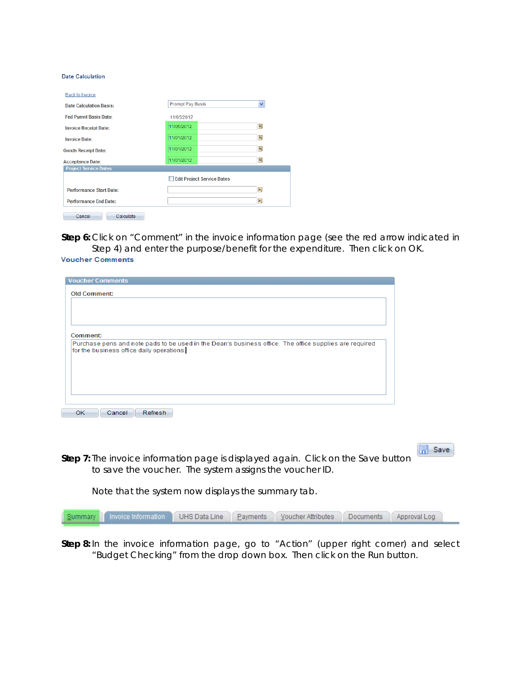**Date Calculation** 

| Prompt Pay Basis<br>$\checkmark$<br>11/05/2012<br>BU<br>11/05/2012 |
|--------------------------------------------------------------------|
|                                                                    |
|                                                                    |
|                                                                    |
| BU<br>11/01/2012                                                   |
| BU<br>11/01/2012                                                   |
| BU<br>11/01/2012                                                   |
|                                                                    |
| Edit Project Service Dates                                         |
|                                                                    |
| ÞŪ                                                                 |
|                                                                    |

**Step 6:** Click on "Comment" in the invoice information page (see the red arrow indicated in Step 4) and enter the purpose/benefit for the expenditure. Then click on OK.

| <b>Voucher Comments</b> |  |  |
|-------------------------|--|--|
|-------------------------|--|--|

| <b>Comment:</b><br>Purchase pens and note pads to be used in the Dean's business office. The office supplies are required<br>for the business office daily operations. | <b>Voucher Comments</b><br><b>Old Comment:</b> |  |
|------------------------------------------------------------------------------------------------------------------------------------------------------------------------|------------------------------------------------|--|
|                                                                                                                                                                        |                                                |  |
|                                                                                                                                                                        |                                                |  |
|                                                                                                                                                                        |                                                |  |
|                                                                                                                                                                        |                                                |  |
|                                                                                                                                                                        |                                                |  |
|                                                                                                                                                                        |                                                |  |
|                                                                                                                                                                        |                                                |  |
|                                                                                                                                                                        |                                                |  |

**同** Save **Step 7:** The invoice information page is displayed again. Click on the Save button to save the voucher. The system assigns the voucher ID.

Note that the system now displays the summary tab.

| Summary Invoice Information UHS Data Line Payments Voucher Attributes Documents Approval Log |  |  |  |
|----------------------------------------------------------------------------------------------|--|--|--|
|                                                                                              |  |  |  |

**Step 8:** In the invoice information page, go to "Action" (upper right corner) and select "Budget Checking" from the drop down box. Then click on the Run button.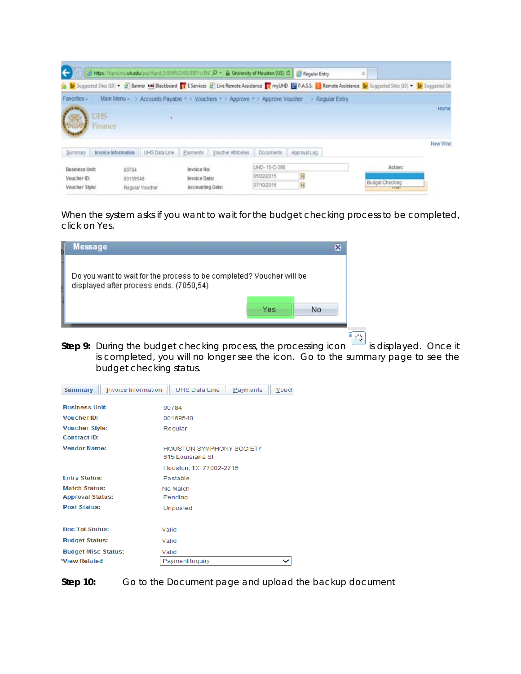| $\leftarrow$                                           | https://fund.my.uh.edu/psp/fund.3/EMPLOYEE/ERP/c/ENC D + A University of Houston [US] C Regular Entry |                 |                                                  |                            |                                          |                                                                                             | × |                                                                                                                                                                                      |          |
|--------------------------------------------------------|-------------------------------------------------------------------------------------------------------|-----------------|--------------------------------------------------|----------------------------|------------------------------------------|---------------------------------------------------------------------------------------------|---|--------------------------------------------------------------------------------------------------------------------------------------------------------------------------------------|----------|
|                                                        |                                                                                                       |                 |                                                  |                            |                                          |                                                                                             |   | (B) Suggested Sites (10) v (B) Banner Um Blackboard T E Services (B) Live Remote Assistance T myUHD TE P.A.S.S. (L) Remote Assistance (b) Suggested Sites (10) v (b) Suggested Sites |          |
| Favorites-                                             |                                                                                                       |                 |                                                  |                            |                                          | Main Menu - > Accounts Payable - > Vouchers - > Approve - > Approve Voucher > Regular Entry |   |                                                                                                                                                                                      |          |
|                                                        | <b>UHS</b><br>Finance                                                                                 |                 |                                                  |                            |                                          |                                                                                             |   |                                                                                                                                                                                      | Home     |
| Summary                                                | Invoice Information                                                                                   | UHS Data Line   |                                                  | Payments Voucher Athibutes | <b>Documents</b>                         | Approval Log                                                                                |   |                                                                                                                                                                                      | New Wind |
| <b>Business Unit:</b><br>Voucher ID:<br>Voucher Style: | 00784<br>00169548                                                                                     | Regular Voucher | Invoice No:<br>Invoice Date:<br>Accounting Date: |                            | UHD-15-C-398<br>05/22/2015<br>07/10/2015 | 热<br>B                                                                                      |   | Action:<br>Budget Checking<br>TURN                                                                                                                                                   |          |

When the system asks if you want to wait for the budget checking process to be completed, click on Yes.

| Message                                                              |     |    |
|----------------------------------------------------------------------|-----|----|
| Do you want to wait for the process to be completed? Voucher will be |     |    |
| displayed after process ends. (7050,54)                              |     |    |
|                                                                      | Yes | No |

**Step 9:** During the budget checking process, the processing icon wise is displayed. Once it is completed, you will no longer see the icon. Go to the summary page to see the budget checking status.

| <b>Summary</b>             | Invoice Information | <b>UHS Data Line</b><br>Payments<br>Vouch |  |  |  |  |  |
|----------------------------|---------------------|-------------------------------------------|--|--|--|--|--|
|                            |                     |                                           |  |  |  |  |  |
| <b>Business Unit:</b>      |                     | 00784                                     |  |  |  |  |  |
| Voucher ID:                |                     | 00169548                                  |  |  |  |  |  |
| <b>Voucher Style:</b>      |                     | Regular                                   |  |  |  |  |  |
| Contract ID:               |                     |                                           |  |  |  |  |  |
| <b>Vendor Name:</b>        |                     | <b>HOUSTON SYMPHONY SOCIETY</b>           |  |  |  |  |  |
|                            |                     | 615 Louisiana St                          |  |  |  |  |  |
|                            |                     | Houston, TX 77002-2715                    |  |  |  |  |  |
| <b>Entry Status:</b>       |                     | Postable                                  |  |  |  |  |  |
| <b>Match Status:</b>       |                     | No Match                                  |  |  |  |  |  |
| <b>Approval Status:</b>    |                     | Pending                                   |  |  |  |  |  |
| <b>Post Status:</b>        |                     | Unposted                                  |  |  |  |  |  |
|                            |                     |                                           |  |  |  |  |  |
| <b>Doc Tol Status:</b>     |                     | Valid                                     |  |  |  |  |  |
| <b>Budget Status:</b>      |                     | Valid                                     |  |  |  |  |  |
| <b>Budget Misc Status:</b> |                     | Valid                                     |  |  |  |  |  |
| *View Related              |                     | Payment Inquiry                           |  |  |  |  |  |

**Step 10:** Go to the Document page and upload the backup document